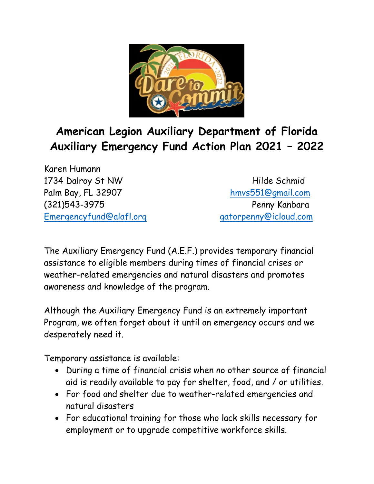

## **American Legion Auxiliary Department of Florida Auxiliary Emergency Fund Action Plan 2021 – 2022**

Karen Humann 1734 Dalroy St NW Hilde Schmid Palm Bay, FL 32907 [hmvs551@gmail.com](mailto:hmvs5510@gmail.com) (321)543-3975 Penny Kanbara [Emergencyfund@alafl.org](mailto:Emergencyfund@alafl.org) [gatorpenny@icloud.com](mailto:gatorpenny@icloud.com)

The Auxiliary Emergency Fund (A.E.F.) provides temporary financial assistance to eligible members during times of financial crises or weather-related emergencies and natural disasters and promotes awareness and knowledge of the program.

Although the Auxiliary Emergency Fund is an extremely important Program, we often forget about it until an emergency occurs and we desperately need it.

Temporary assistance is available:

- During a time of financial crisis when no other source of financial aid is readily available to pay for shelter, food, and / or utilities.
- For food and shelter due to weather-related emergencies and natural disasters
- For educational training for those who lack skills necessary for employment or to upgrade competitive workforce skills.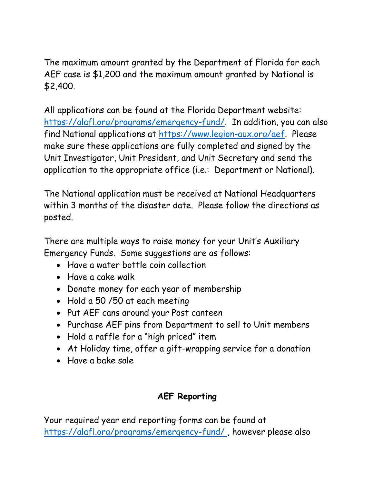The maximum amount granted by the Department of Florida for each AEF case is \$1,200 and the maximum amount granted by National is \$2,400.

All applications can be found at the Florida Department website: [https://alafl.org/programs/emergency-fund/.](https://alafl.org/programs/emergency-fund/) In addition, you can also find National applications at [https://www.legion-aux.org/aef.](https://www.legion-aux.org/aef) Please make sure these applications are fully completed and signed by the Unit Investigator, Unit President, and Unit Secretary and send the application to the appropriate office (i.e.: Department or National).

The National application must be received at National Headquarters within 3 months of the disaster date. Please follow the directions as posted.

There are multiple ways to raise money for your Unit's Auxiliary Emergency Funds. Some suggestions are as follows:

- Have a water bottle coin collection
- Have a cake walk
- Donate money for each year of membership
- Hold a 50 /50 at each meeting
- Put AEF cans around your Post canteen
- Purchase AEF pins from Department to sell to Unit members
- Hold a raffle for a "high priced" item
- At Holiday time, offer a gift-wrapping service for a donation
- Have a bake sale

## **AEF Reporting**

Your required year end reporting forms can be found at <https://alafl.org/programs/emergency-fund/> , however please also